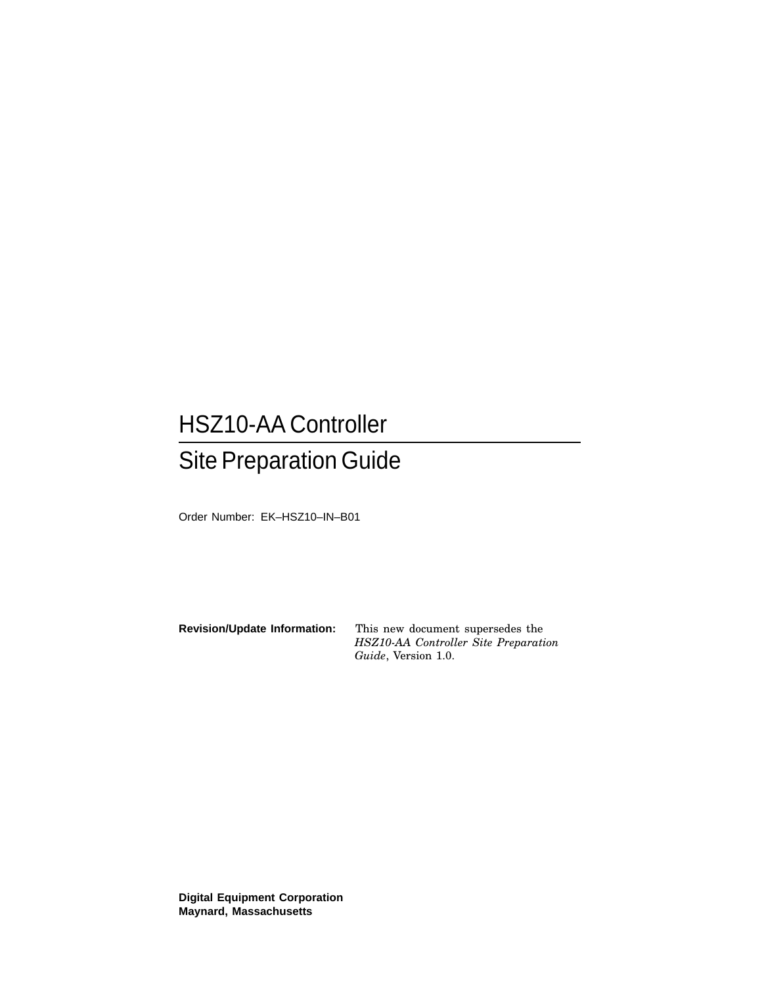# HSZ10-AA Controller Site Preparation Guide

Order Number: EK–HSZ10–IN–B01

**Revision/Update Information:** This new document supersedes the *HSZ10-AA Controller Site Preparation Guide*, Version 1.0.

**Digital Equipment Corporation Maynard, Massachusetts**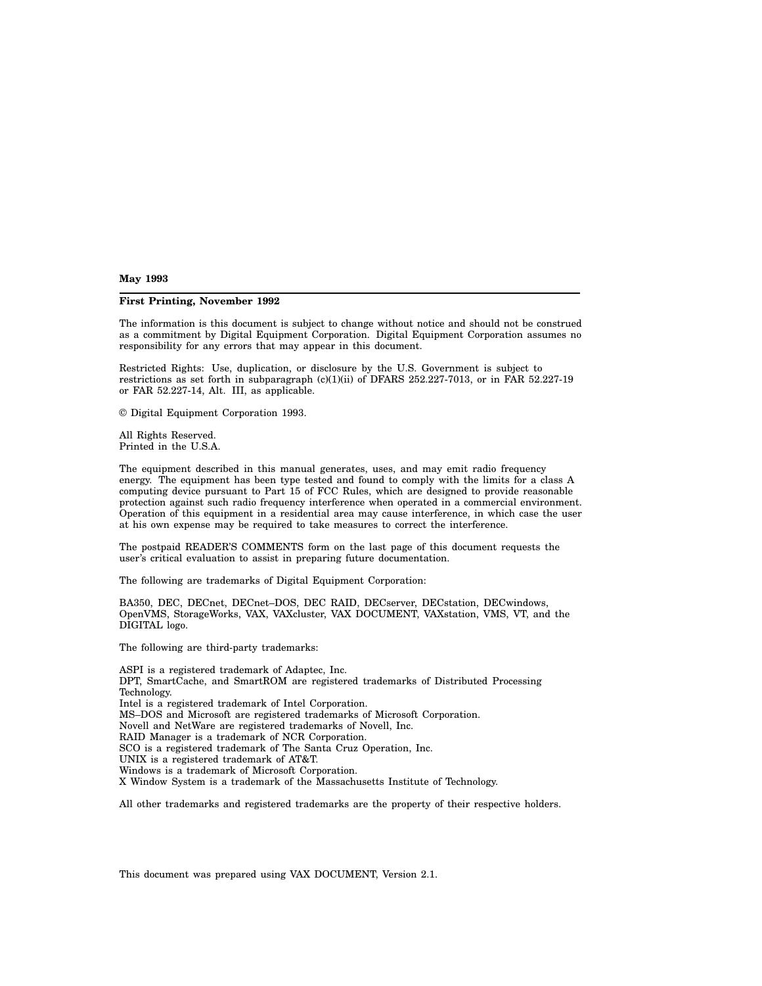**May 1993**

#### **First Printing, November 1992**

The information is this document is subject to change without notice and should not be construed as a commitment by Digital Equipment Corporation. Digital Equipment Corporation assumes no responsibility for any errors that may appear in this document.

Restricted Rights: Use, duplication, or disclosure by the U.S. Government is subject to restrictions as set forth in subparagraph (c)(1)(ii) of DFARS 252.227-7013, or in FAR 52.227-19 or FAR 52.227-14, Alt. III, as applicable.

© Digital Equipment Corporation 1993.

All Rights Reserved. Printed in the U.S.A.

The equipment described in this manual generates, uses, and may emit radio frequency energy. The equipment has been type tested and found to comply with the limits for a class A computing device pursuant to Part 15 of FCC Rules, which are designed to provide reasonable protection against such radio frequency interference when operated in a commercial environment. Operation of this equipment in a residential area may cause interference, in which case the user at his own expense may be required to take measures to correct the interference.

The postpaid READER'S COMMENTS form on the last page of this document requests the user's critical evaluation to assist in preparing future documentation.

The following are trademarks of Digital Equipment Corporation:

BA350, DEC, DECnet, DECnet–DOS, DEC RAID, DECserver, DECstation, DECwindows, OpenVMS, StorageWorks, VAX, VAXcluster, VAX DOCUMENT, VAXstation, VMS, VT, and the DIGITAL logo.

The following are third-party trademarks:

ASPI is a registered trademark of Adaptec, Inc. DPT, SmartCache, and SmartROM are registered trademarks of Distributed Processing Technology. Intel is a registered trademark of Intel Corporation. MS–DOS and Microsoft are registered trademarks of Microsoft Corporation. Novell and NetWare are registered trademarks of Novell, Inc. RAID Manager is a trademark of NCR Corporation. SCO is a registered trademark of The Santa Cruz Operation, Inc. UNIX is a registered trademark of AT&T. Windows is a trademark of Microsoft Corporation. X Window System is a trademark of the Massachusetts Institute of Technology.

All other trademarks and registered trademarks are the property of their respective holders.

This document was prepared using VAX DOCUMENT, Version 2.1.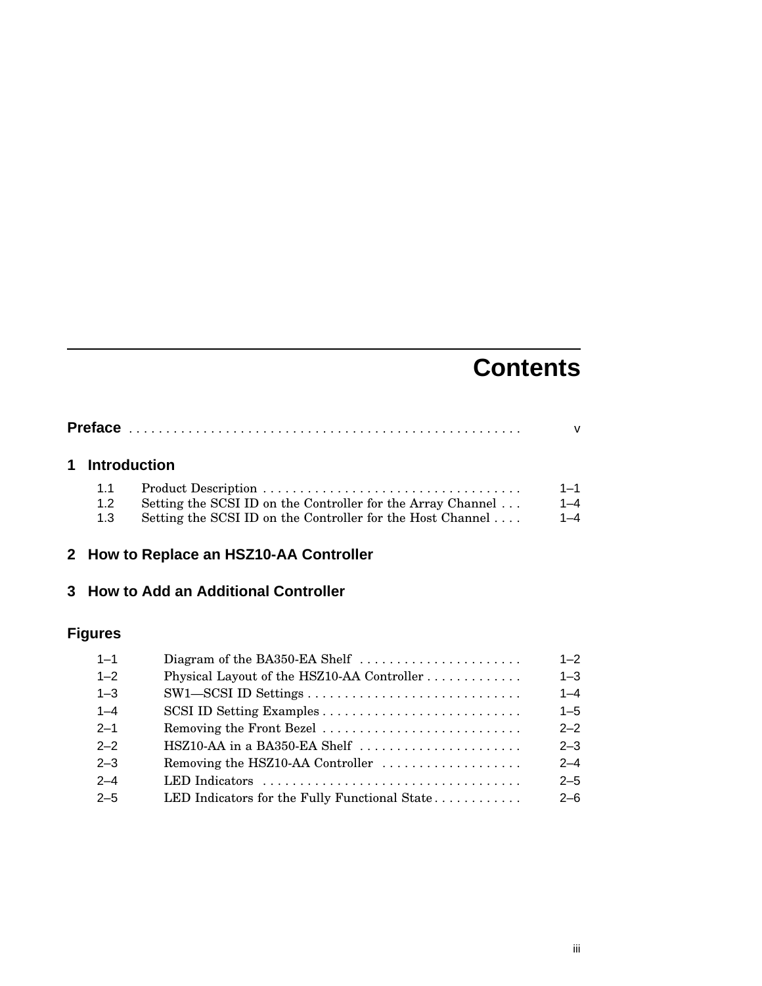# **Contents**

|  |     | 1 Introduction                                              |         |
|--|-----|-------------------------------------------------------------|---------|
|  | 1.1 |                                                             | 1-1     |
|  | 1.2 | Setting the SCSI ID on the Controller for the Array Channel | $1 - 4$ |
|  | 1.3 | Setting the SCSI ID on the Controller for the Host Channel  | $1 - 4$ |

## **2 How to Replace an HSZ10-AA Controller**

#### **3 How to Add an Additional Controller**

## **Figures**

| $1 - 1$ |                                               | $1 - 2$ |
|---------|-----------------------------------------------|---------|
| $1 - 2$ | Physical Layout of the HSZ10-AA Controller    | $1 - 3$ |
| $1 - 3$ |                                               | $1 - 4$ |
| $1 - 4$ |                                               | $1 - 5$ |
| $2 - 1$ | Removing the Front Bezel                      | $2 - 2$ |
| $2 - 2$ | HSZ10-AA in a BA350-EA Shelf                  | $2 - 3$ |
| $2 - 3$ | Removing the HSZ10-AA Controller              | $2 - 4$ |
| $2 - 4$ | LED Indicators                                | $2 - 5$ |
| $2 - 5$ | LED Indicators for the Fully Functional State | $2 - 6$ |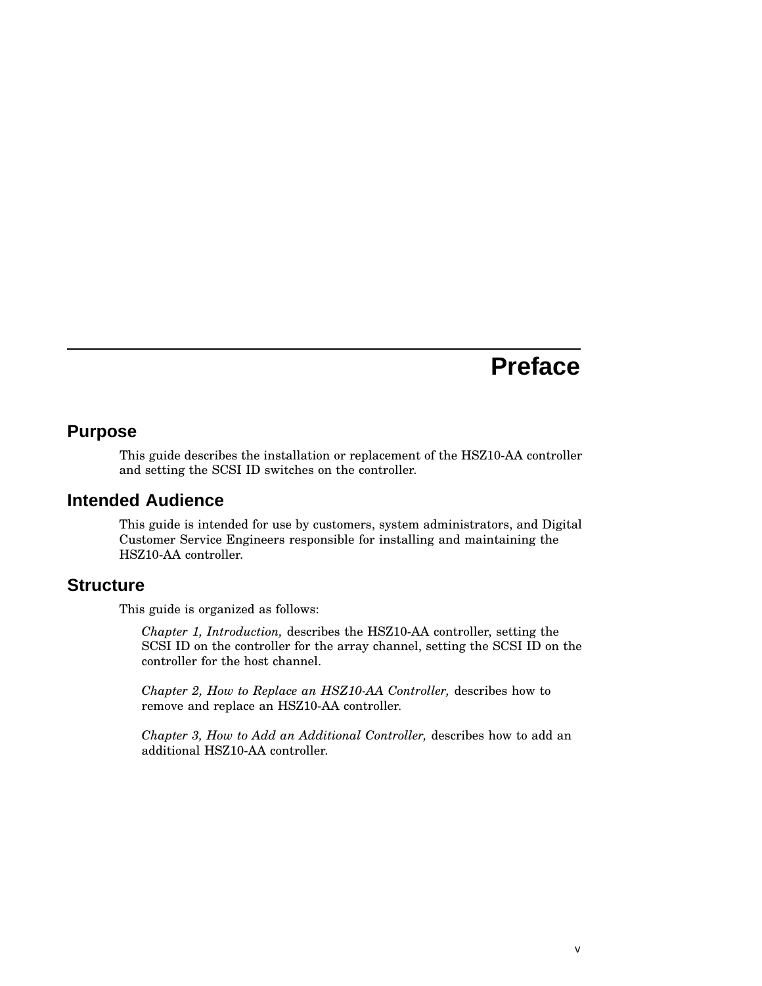# **Preface**

#### **Purpose**

This guide describes the installation or replacement of the HSZ10-AA controller and setting the SCSI ID switches on the controller.

#### **Intended Audience**

This guide is intended for use by customers, system administrators, and Digital Customer Service Engineers responsible for installing and maintaining the HSZ10-AA controller.

#### **Structure**

This guide is organized as follows:

*Chapter 1, Introduction,* describes the HSZ10-AA controller, setting the SCSI ID on the controller for the array channel, setting the SCSI ID on the controller for the host channel.

*Chapter 2, How to Replace an HSZ10-AA Controller,* describes how to remove and replace an HSZ10-AA controller.

*Chapter 3, How to Add an Additional Controller,* describes how to add an additional HSZ10-AA controller.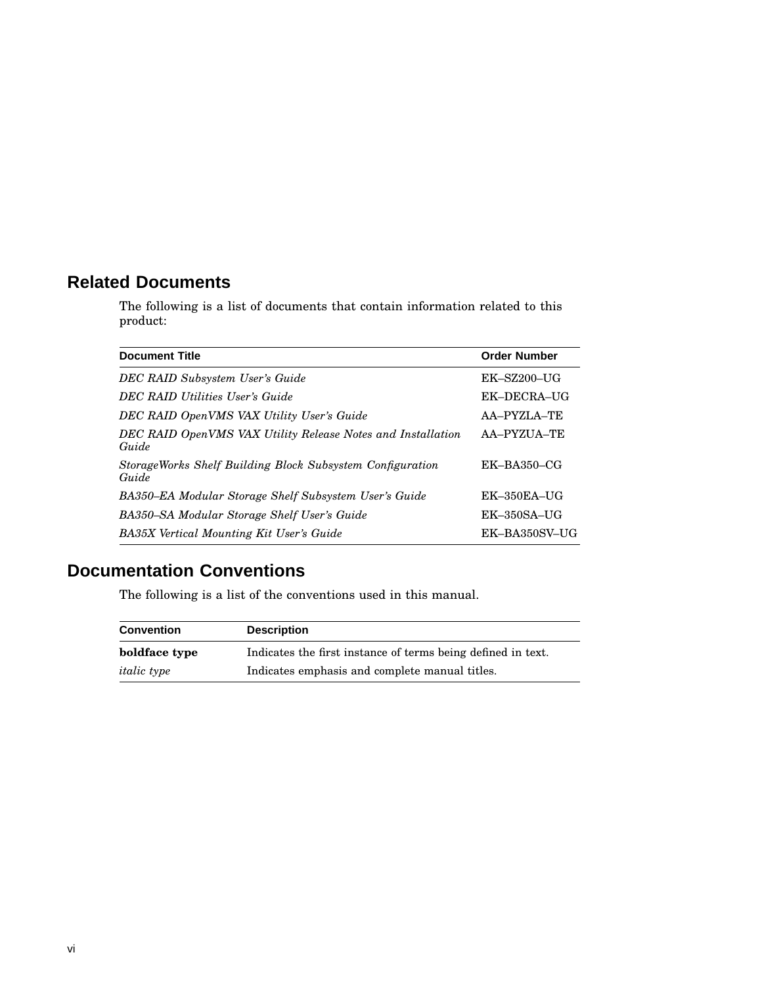### **Related Documents**

The following is a list of documents that contain information related to this product:

| <b>Document Title</b>                                                | <b>Order Number</b> |
|----------------------------------------------------------------------|---------------------|
| DEC RAID Subsystem User's Guide                                      | $EK-SZ200-UG$       |
| <b>DEC RAID Utilities User's Guide</b>                               | EK-DECRA-UG         |
| DEC RAID OpenVMS VAX Utility User's Guide                            | AA-PYZLA-TE         |
| DEC RAID OpenVMS VAX Utility Release Notes and Installation<br>Guide | AA-PYZUA-TE         |
| StorageWorks Shelf Building Block Subsystem Configuration<br>Guide   | $EK-BA350-CG$       |
| BA350–EA Modular Storage Shelf Subsystem User's Guide                | $EK-350EA-UG$       |
| BA350–SA Modular Storage Shelf User's Guide                          | $EK-350SA-UG$       |
| <b>BA35X</b> Vertical Mounting Kit User's Guide                      | EK-BA350SV-UG       |

## **Documentation Conventions**

The following is a list of the conventions used in this manual.

| <b>Convention</b>  | <b>Description</b>                                           |  |
|--------------------|--------------------------------------------------------------|--|
| boldface type      | Indicates the first instance of terms being defined in text. |  |
| <i>italic</i> type | Indicates emphasis and complete manual titles.               |  |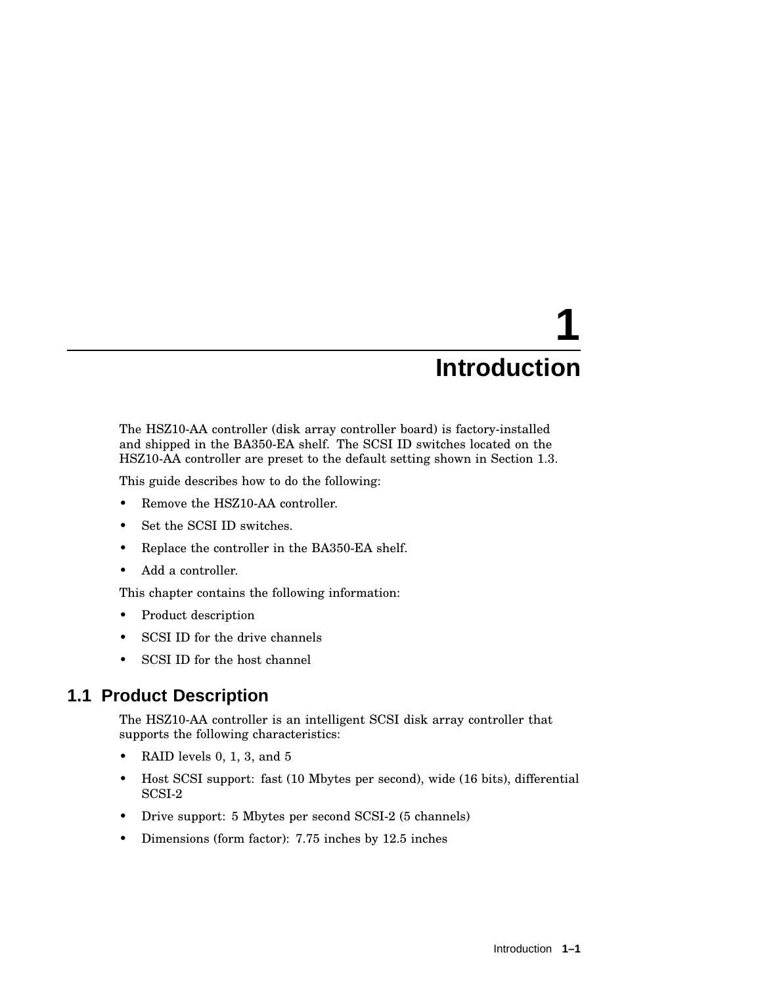# **1 Introduction**

The HSZ10-AA controller (disk array controller board) is factory-installed and shipped in the BA350-EA shelf. The SCSI ID switches located on the HSZ10-AA controller are preset to the default setting shown in Section 1.3.

This guide describes how to do the following:

- Remove the HSZ10-AA controller.
- Set the SCSI ID switches.
- Replace the controller in the BA350-EA shelf.
- Add a controller.

This chapter contains the following information:

- Product description
- SCSI ID for the drive channels
- SCSI ID for the host channel

#### **1.1 Product Description**

The HSZ10-AA controller is an intelligent SCSI disk array controller that supports the following characteristics:

- RAID levels 0, 1, 3, and 5
- Host SCSI support: fast (10 Mbytes per second), wide (16 bits), differential SCSI-2
- Drive support: 5 Mbytes per second SCSI-2 (5 channels)
- Dimensions (form factor): 7.75 inches by 12.5 inches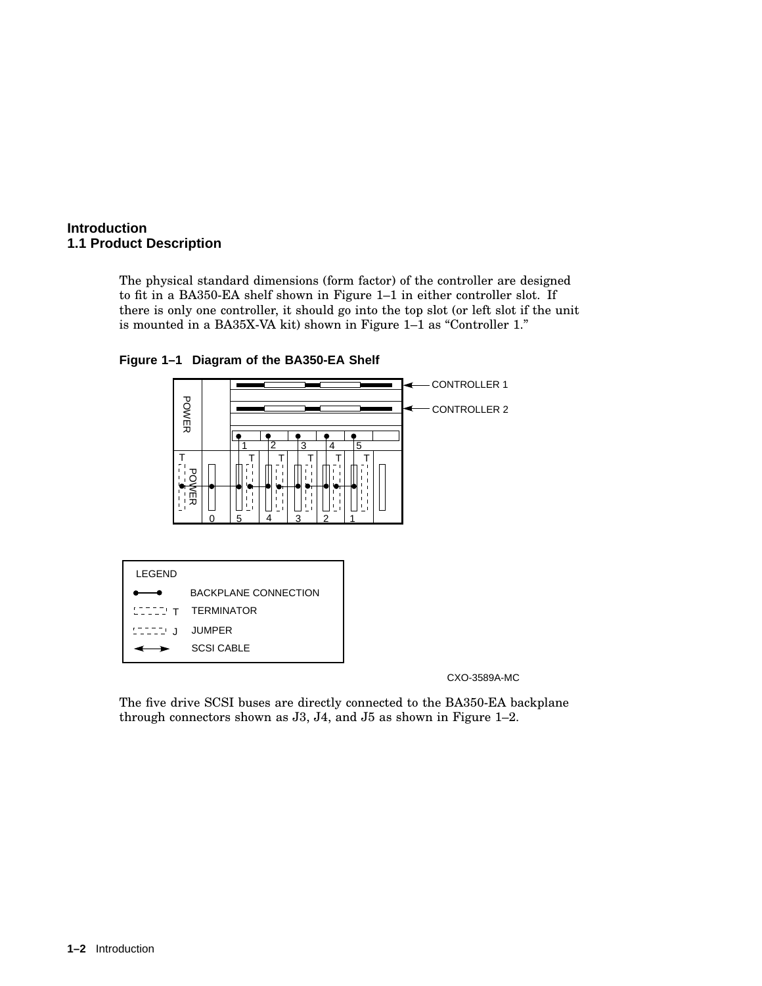#### **Introduction 1.1 Product Description**

The physical standard dimensions (form factor) of the controller are designed to fit in a BA350-EA shelf shown in Figure 1–1 in either controller slot. If there is only one controller, it should go into the top slot (or left slot if the unit is mounted in a BA35X-VA kit) shown in Figure 1-1 as "Controller 1."



**Figure 1–1 Diagram of the BA350-EA Shelf**

CXO-3589A-MC

The five drive SCSI buses are directly connected to the BA350-EA backplane through connectors shown as J3, J4, and J5 as shown in Figure 1–2.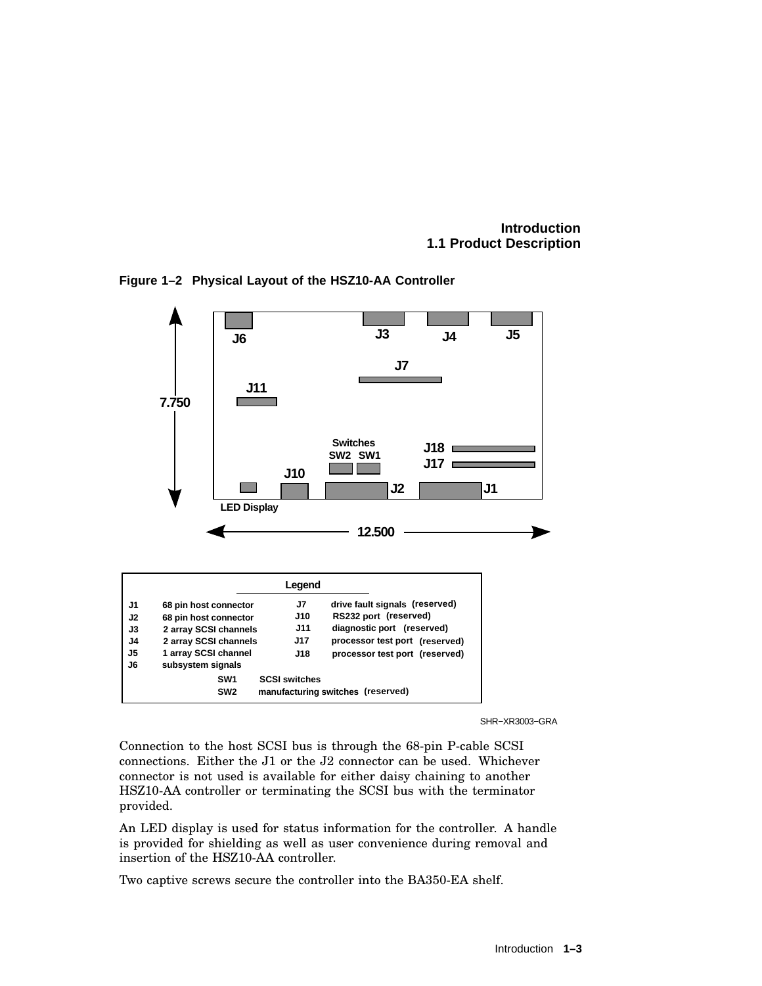**Introduction 1.1 Product Description**



**Figure 1–2 Physical Layout of the HSZ10-AA Controller**

SHR−XR3003−GRA

Connection to the host SCSI bus is through the 68-pin P-cable SCSI connections. Either the J1 or the J2 connector can be used. Whichever connector is not used is available for either daisy chaining to another HSZ10-AA controller or terminating the SCSI bus with the terminator provided.

An LED display is used for status information for the controller. A handle is provided for shielding as well as user convenience during removal and insertion of the HSZ10-AA controller.

Two captive screws secure the controller into the BA350-EA shelf.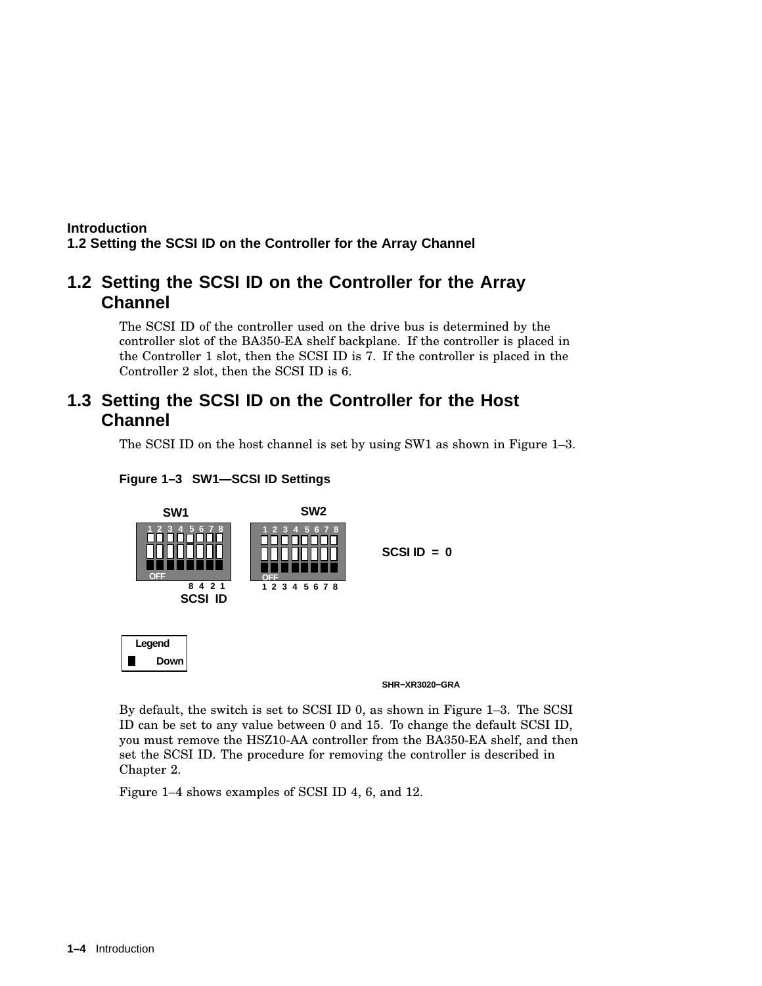#### **Introduction 1.2 Setting the SCSI ID on the Controller for the Array Channel**

### **1.2 Setting the SCSI ID on the Controller for the Array Channel**

The SCSI ID of the controller used on the drive bus is determined by the controller slot of the BA350-EA shelf backplane. If the controller is placed in the Controller 1 slot, then the SCSI ID is 7. If the controller is placed in the Controller 2 slot, then the SCSI ID is 6.

### **1.3 Setting the SCSI ID on the Controller for the Host Channel**

The SCSI ID on the host channel is set by using SW1 as shown in Figure 1–3.





By default, the switch is set to SCSI ID 0, as shown in Figure 1–3. The SCSI ID can be set to any value between 0 and 15. To change the default SCSI ID, you must remove the HSZ10-AA controller from the BA350-EA shelf, and then set the SCSI ID. The procedure for removing the controller is described in Chapter 2.

Figure 1–4 shows examples of SCSI ID 4, 6, and 12.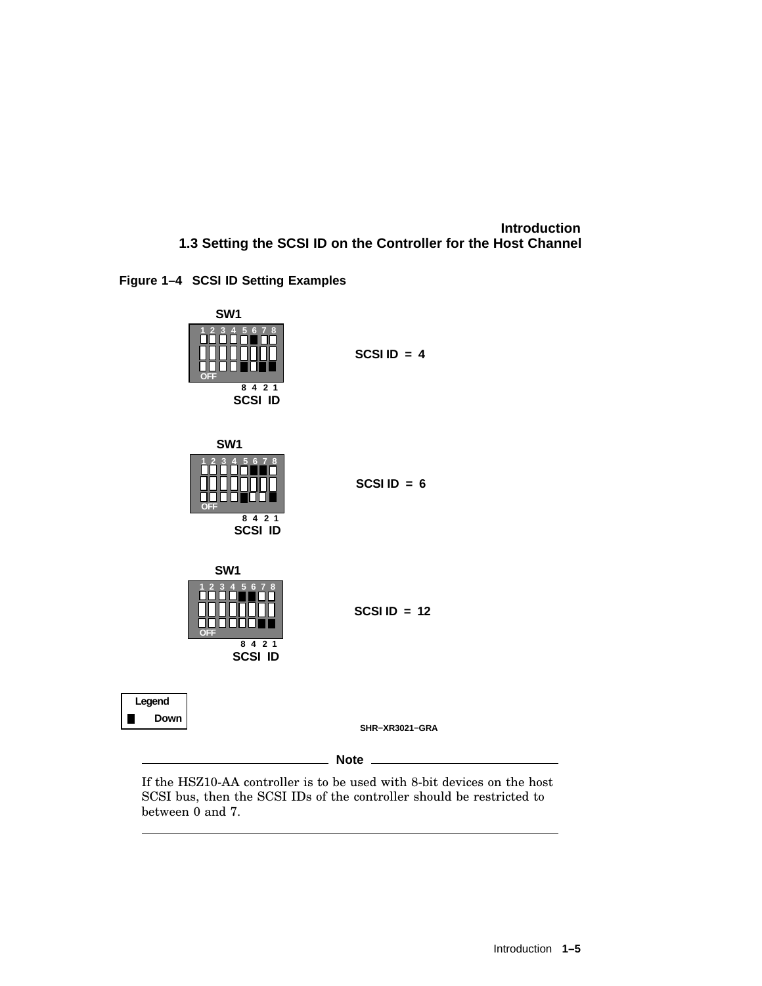#### **Introduction 1.3 Setting the SCSI ID on the Controller for the Host Channel**





If the HSZ10-AA controller is to be used with 8-bit devices on the host SCSI bus, then the SCSI IDs of the controller should be restricted to between 0 and 7.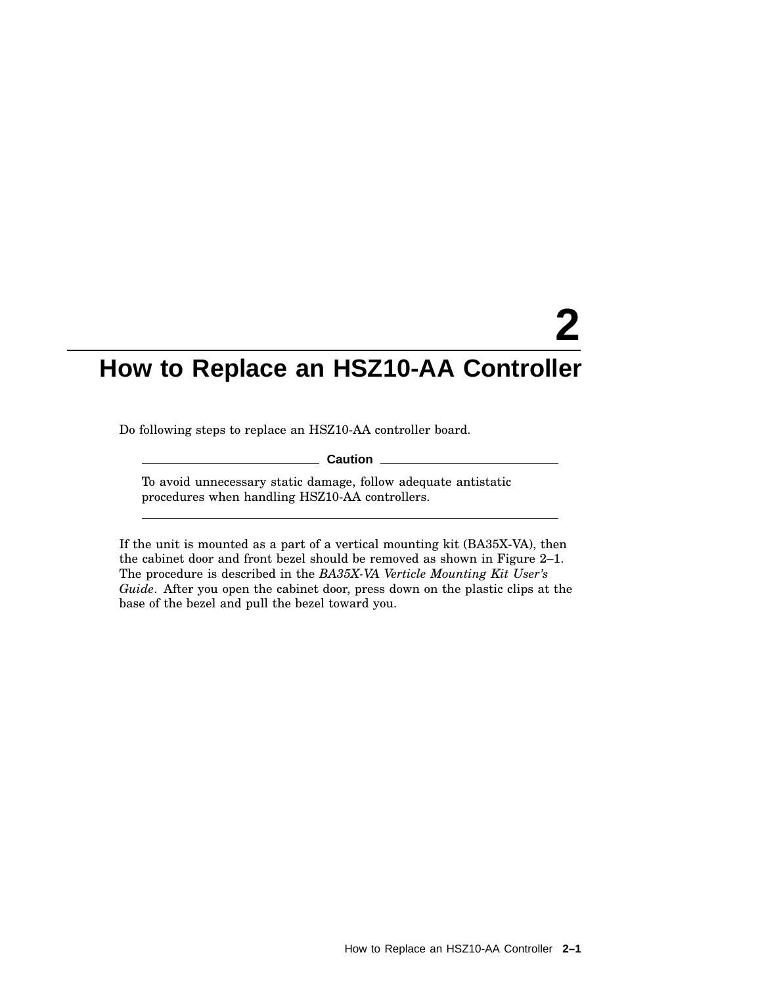Do following steps to replace an HSZ10-AA controller board.

**Caution**

To avoid unnecessary static damage, follow adequate antistatic procedures when handling HSZ10-AA controllers.

If the unit is mounted as a part of a vertical mounting kit (BA35X-VA), then the cabinet door and front bezel should be removed as shown in Figure 2–1. The procedure is described in the *BA35X-VA Verticle Mounting Kit User's Guide*. After you open the cabinet door, press down on the plastic clips at the base of the bezel and pull the bezel toward you.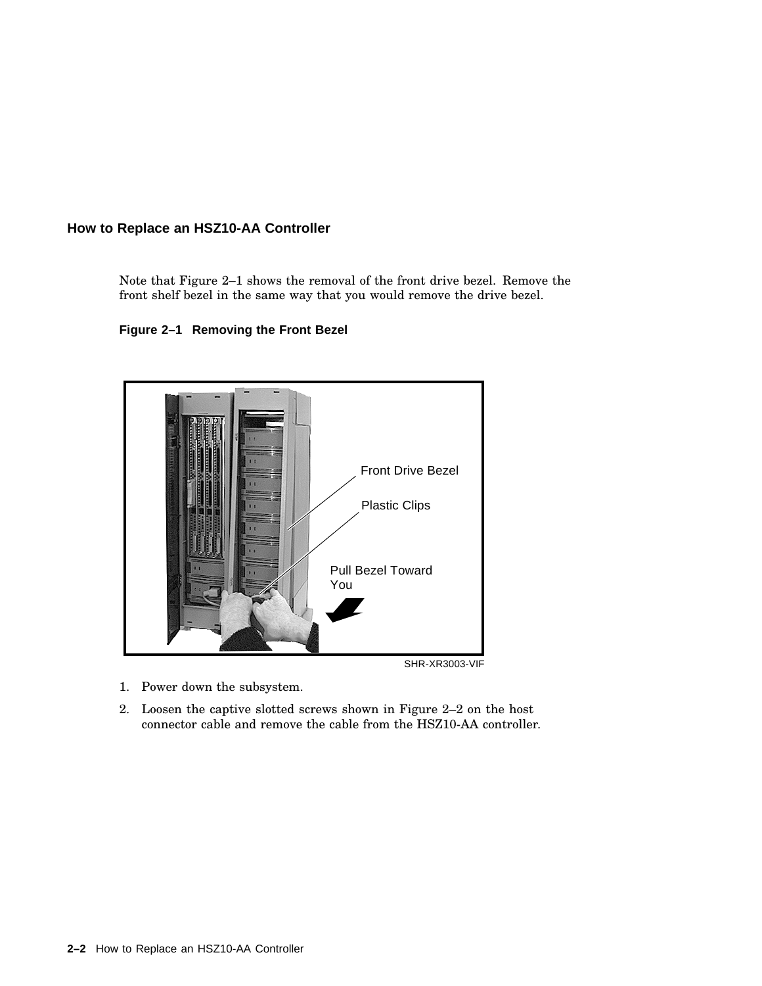Note that Figure 2–1 shows the removal of the front drive bezel. Remove the front shelf bezel in the same way that you would remove the drive bezel.

**Figure 2–1 Removing the Front Bezel**



- 1. Power down the subsystem.
- 2. Loosen the captive slotted screws shown in Figure 2–2 on the host connector cable and remove the cable from the HSZ10-AA controller.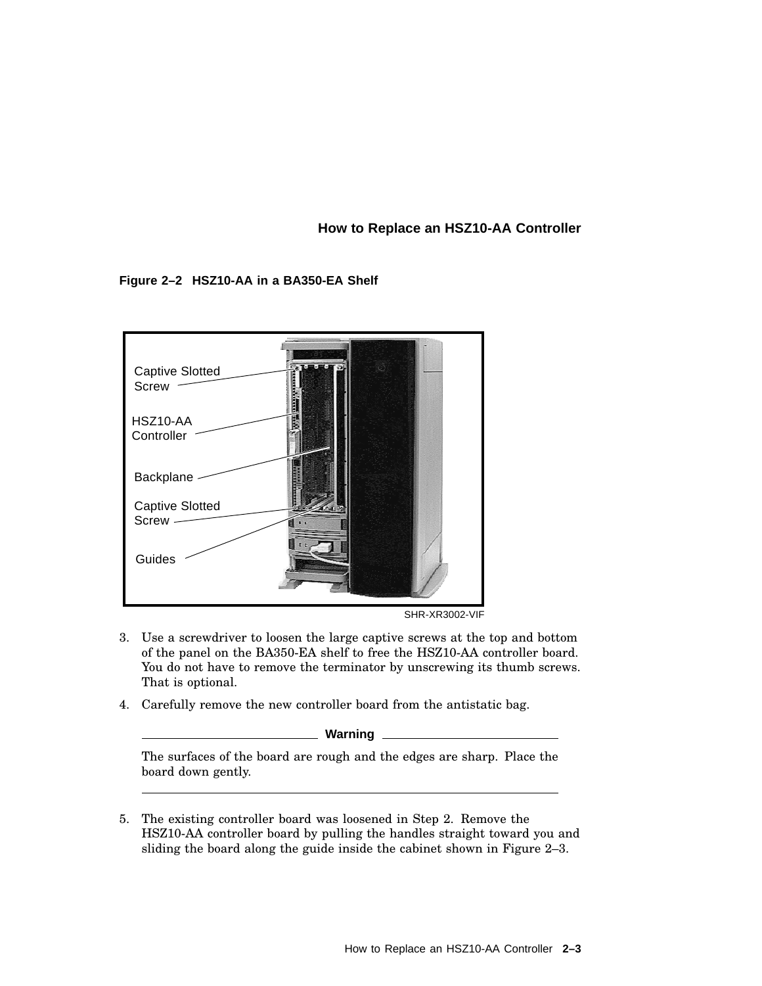#### **Figure 2–2 HSZ10-AA in a BA350-EA Shelf**



SHR-XR3002-VIF

- 3. Use a screwdriver to loosen the large captive screws at the top and bottom of the panel on the BA350-EA shelf to free the HSZ10-AA controller board. You do not have to remove the terminator by unscrewing its thumb screws. That is optional.
- 4. Carefully remove the new controller board from the antistatic bag.

**Warning**

The surfaces of the board are rough and the edges are sharp. Place the board down gently.

5. The existing controller board was loosened in Step 2. Remove the HSZ10-AA controller board by pulling the handles straight toward you and sliding the board along the guide inside the cabinet shown in Figure 2–3.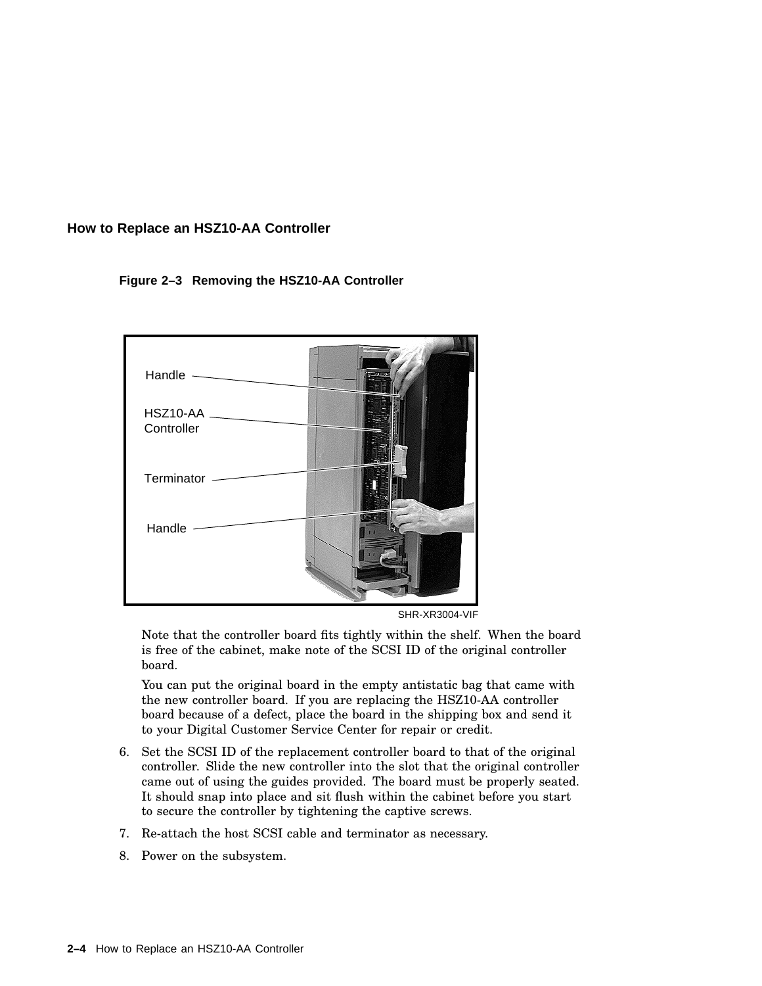#### **Figure 2–3 Removing the HSZ10-AA Controller**



SHR-XR3004-VIF

Note that the controller board fits tightly within the shelf. When the board is free of the cabinet, make note of the SCSI ID of the original controller board.

You can put the original board in the empty antistatic bag that came with the new controller board. If you are replacing the HSZ10-AA controller board because of a defect, place the board in the shipping box and send it to your Digital Customer Service Center for repair or credit.

- 6. Set the SCSI ID of the replacement controller board to that of the original controller. Slide the new controller into the slot that the original controller came out of using the guides provided. The board must be properly seated. It should snap into place and sit flush within the cabinet before you start to secure the controller by tightening the captive screws.
- 7. Re-attach the host SCSI cable and terminator as necessary.
- 8. Power on the subsystem.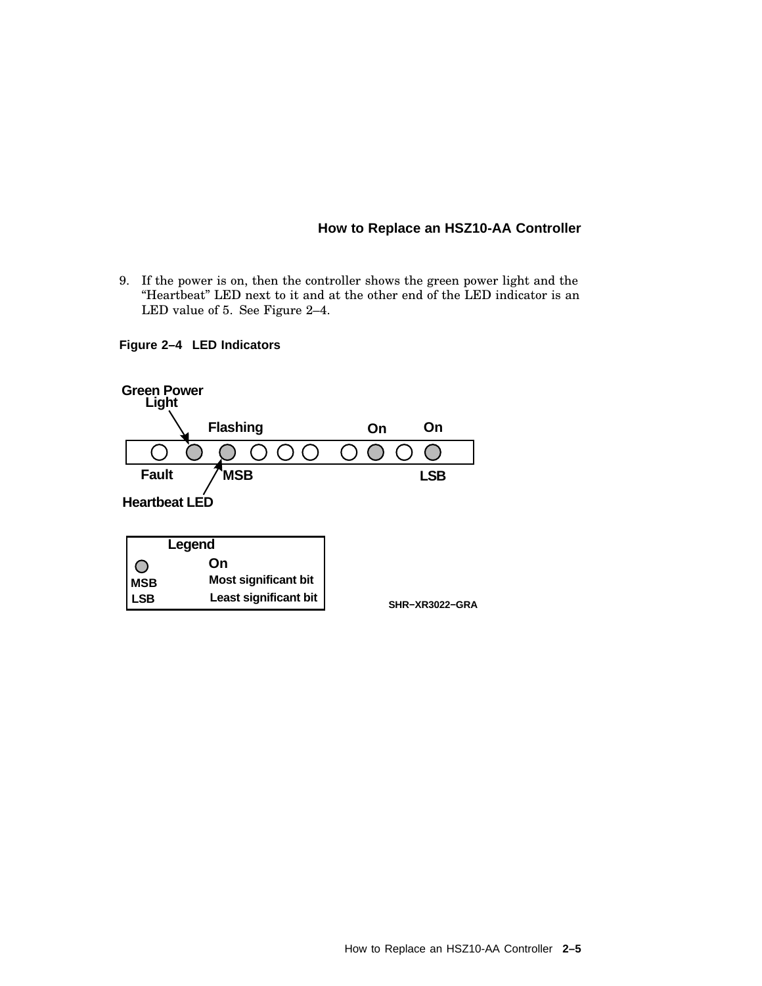9. If the power is on, then the controller shows the green power light and the "Heartbeat" LED next to it and at the other end of the LED indicator is an LED value of 5. See Figure 2–4.

#### **Figure 2–4 LED Indicators**

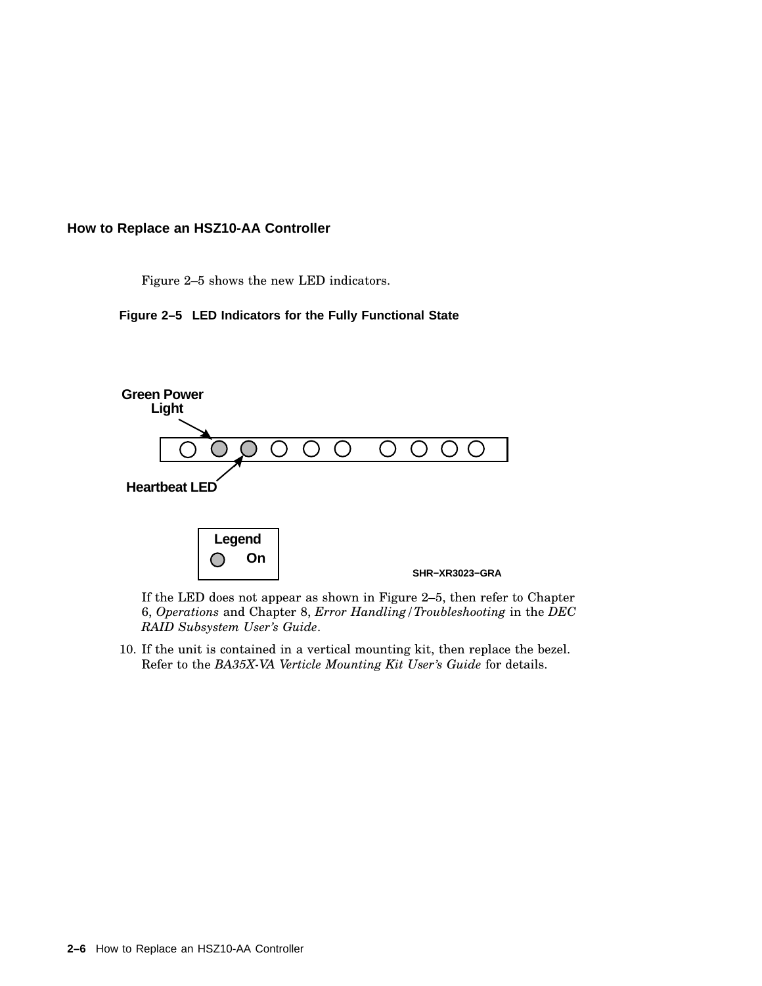Figure 2–5 shows the new LED indicators.





If the LED does not appear as shown in Figure 2–5, then refer to Chapter 6, *Operations* and Chapter 8, *Error Handling/Troubleshooting* in the *DEC RAID Subsystem User's Guide*.

10. If the unit is contained in a vertical mounting kit, then replace the bezel. Refer to the *BA35X-VA Verticle Mounting Kit User's Guide* for details.